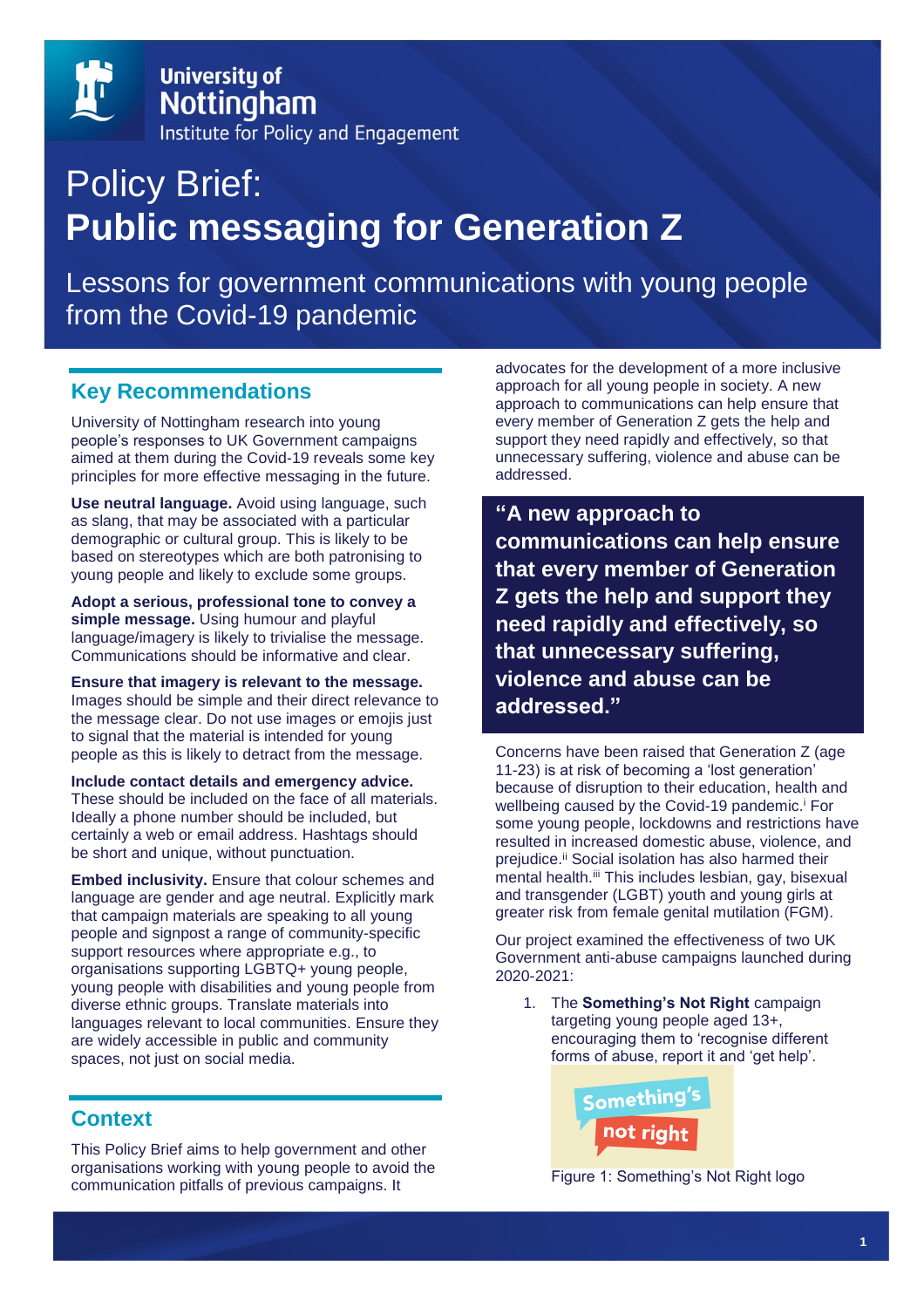

# Policy Brief: **Public messaging for Generation Z**

Lessons for government communications with young people from the Covid-19 pandemic

# **Key Recommendations**

University of Nottingham research into young people's responses to UK Government campaigns aimed at them during the Covid-19 reveals some key principles for more effective messaging in the future.

**Use neutral language.** Avoid using language, such as slang, that may be associated with a particular demographic or cultural group. This is likely to be based on stereotypes which are both patronising to young people and likely to exclude some groups.

**Adopt a serious, professional tone to convey a simple message.** Using humour and playful language/imagery is likely to trivialise the message. Communications should be informative and clear.

**Ensure that imagery is relevant to the message.**  Images should be simple and their direct relevance to the message clear. Do not use images or emojis just to signal that the material is intended for young people as this is likely to detract from the message.

**Include contact details and emergency advice.**  These should be included on the face of all materials. Ideally a phone number should be included, but certainly a web or email address. Hashtags should be short and unique, without punctuation.

**Embed inclusivity.** Ensure that colour schemes and language are gender and age neutral. Explicitly mark that campaign materials are speaking to all young people and signpost a range of community-specific support resources where appropriate e.g., to organisations supporting LGBTQ+ young people, young people with disabilities and young people from diverse ethnic groups. Translate materials into languages relevant to local communities. Ensure they are widely accessible in public and community spaces, not just on social media.

# **Context**

This Policy Brief aims to help government and other organisations working with young people to avoid the communication pitfalls of previous campaigns. It

advocates for the development of a more inclusive approach for all young people in society. A new approach to communications can help ensure that every member of Generation Z gets the help and support they need rapidly and effectively, so that unnecessary suffering, violence and abuse can be addressed.

**"A new approach to communications can help ensure that every member of Generation Z gets the help and support they need rapidly and effectively, so that unnecessary suffering, violence and abuse can be addressed."**

Concerns have been raised that Generation Z (age 11-23) is at risk of becoming a 'lost generation' because of disruption to their education, health and wellbeing caused by the Covid-19 pandemic.<sup>i</sup> For some young people, lockdowns and restrictions have resulted in increased domestic abuse, violence, and prejudice.<sup>ii</sup> Social isolation has also harmed their mental health.<sup>iii</sup> This includes lesbian, gay, bisexual and transgender (LGBT) youth and young girls at greater risk from female genital mutilation (FGM).

Our project examined the effectiveness of two UK Government anti-abuse campaigns launched during 2020-2021:

1. The **Something's Not Right** campaign targeting young people aged 13+, encouraging them to 'recognise different forms of abuse, report it and 'get help'.



Figure 1: Something's Not Right logo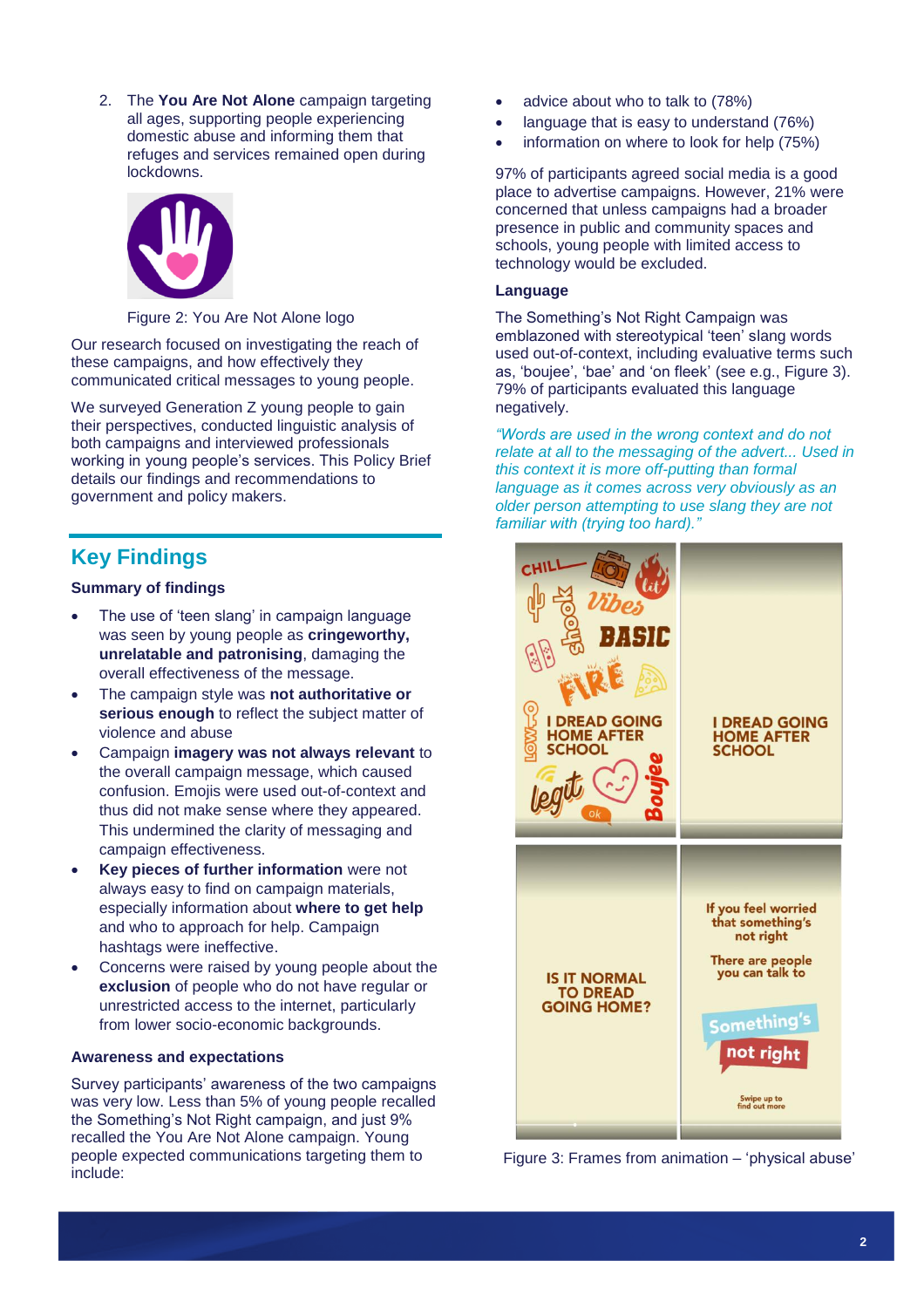2. The **You Are Not Alone** campaign targeting all ages, supporting people experiencing domestic abuse and informing them that refuges and services remained open during lockdowns.



#### Figure 2: You Are Not Alone logo

Our research focused on investigating the reach of these campaigns, and how effectively they communicated critical messages to young people.

We surveyed Generation Z young people to gain their perspectives, conducted linguistic analysis of both campaigns and interviewed professionals working in young people's services. This Policy Brief details our findings and recommendations to government and policy makers.

# **Key Findings**

#### **Summary of findings**

- The use of 'teen slang' in campaign language was seen by young people as **cringeworthy, unrelatable and patronising**, damaging the overall effectiveness of the message.
- The campaign style was **not authoritative or serious enough** to reflect the subject matter of violence and abuse
- Campaign **imagery was not always relevant** to the overall campaign message, which caused confusion. Emojis were used out-of-context and thus did not make sense where they appeared. This undermined the clarity of messaging and campaign effectiveness.
- **Key pieces of further information** were not always easy to find on campaign materials, especially information about **where to get help** and who to approach for help. Campaign hashtags were ineffective.
- Concerns were raised by young people about the **exclusion** of people who do not have regular or unrestricted access to the internet, particularly from lower socio-economic backgrounds.

#### **Awareness and expectations**

Survey participants' awareness of the two campaigns was very low. Less than 5% of young people recalled the Something's Not Right campaign, and just 9% recalled the You Are Not Alone campaign. Young people expected communications targeting them to include:

- advice about who to talk to (78%)
- language that is easy to understand (76%)
- information on where to look for help (75%)

97% of participants agreed social media is a good place to advertise campaigns. However, 21% were concerned that unless campaigns had a broader presence in public and community spaces and schools, young people with limited access to technology would be excluded.

#### **Language**

The Something's Not Right Campaign was emblazoned with stereotypical 'teen' slang words used out-of-context, including evaluative terms such as, 'boujee', 'bae' and 'on fleek' (see e.g., Figure 3). 79% of participants evaluated this language negatively.

*"Words are used in the wrong context and do not relate at all to the messaging of the advert... Used in this context it is more off-putting than formal language as it comes across very obviously as an older person attempting to use slang they are not familiar with (trying too hard)."*



Figure 3: Frames from animation – 'physical abuse'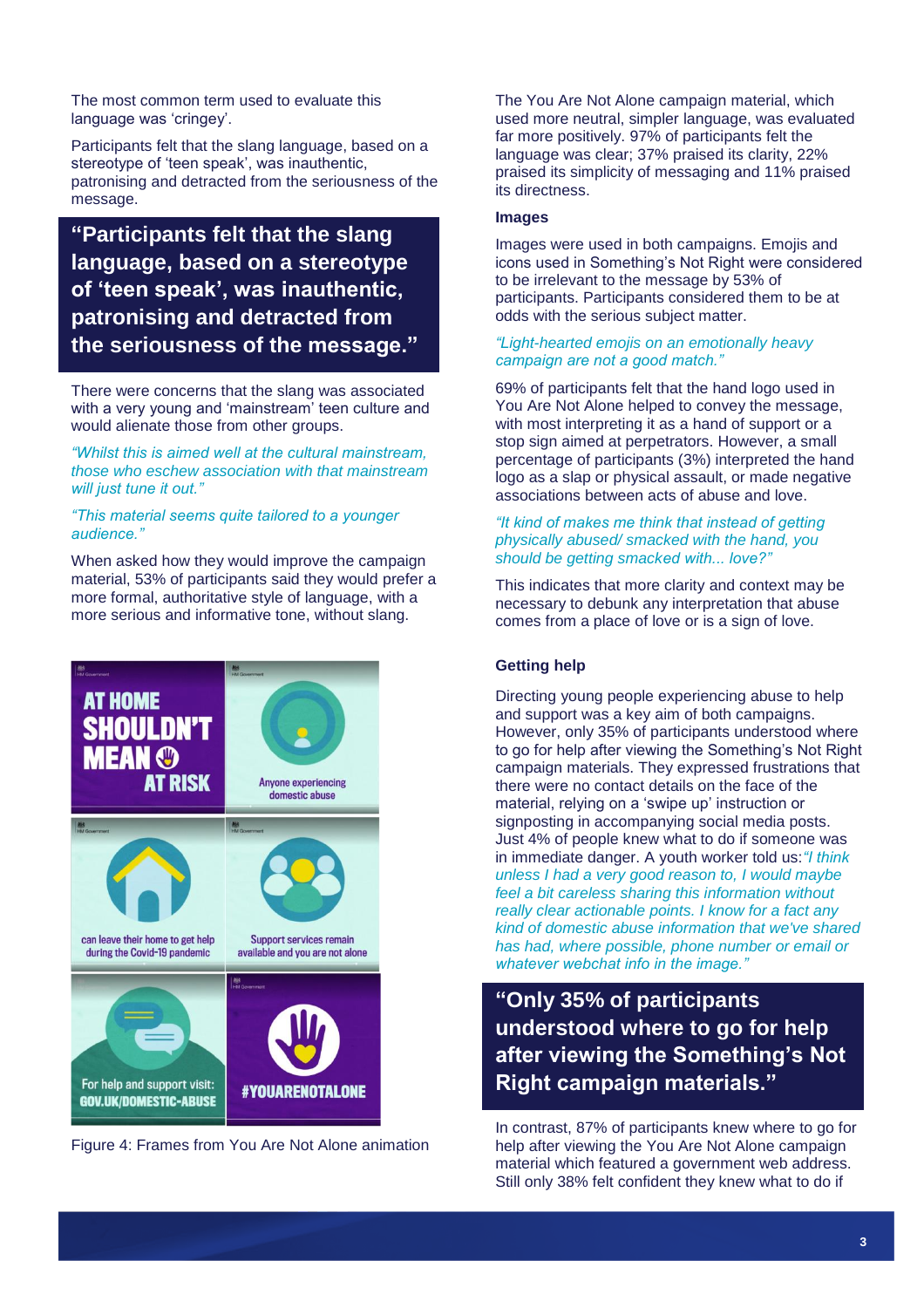The most common term used to evaluate this language was 'cringey'.

Participants felt that the slang language, based on a stereotype of 'teen speak', was inauthentic, patronising and detracted from the seriousness of the message.

# **"Participants felt that the slang language, based on a stereotype of 'teen speak', was inauthentic, patronising and detracted from the seriousness of the message."**

There were concerns that the slang was associated with a very young and 'mainstream' teen culture and would alienate those from other groups.

*"Whilst this is aimed well at the cultural mainstream, those who eschew association with that mainstream will just tune it out."*

#### *"This material seems quite tailored to a younger audience."*

When asked how they would improve the campaign material, 53% of participants said they would prefer a more formal, authoritative style of language, with a more serious and informative tone, without slang.





The You Are Not Alone campaign material, which used more neutral, simpler language, was evaluated far more positively. 97% of participants felt the language was clear; 37% praised its clarity, 22% praised its simplicity of messaging and 11% praised its directness.

#### **Images**

Images were used in both campaigns. Emojis and icons used in Something's Not Right were considered to be irrelevant to the message by 53% of participants. Participants considered them to be at odds with the serious subject matter.

#### *"Light-hearted emojis on an emotionally heavy campaign are not a good match."*

69% of participants felt that the hand logo used in You Are Not Alone helped to convey the message, with most interpreting it as a hand of support or a stop sign aimed at perpetrators. However, a small percentage of participants (3%) interpreted the hand logo as a slap or physical assault, or made negative associations between acts of abuse and love.

#### *"It kind of makes me think that instead of getting physically abused/ smacked with the hand, you should be getting smacked with... love?"*

This indicates that more clarity and context may be necessary to debunk any interpretation that abuse comes from a place of love or is a sign of love.

#### **Getting help**

Directing young people experiencing abuse to help and support was a key aim of both campaigns. However, only 35% of participants understood where to go for help after viewing the Something's Not Right campaign materials. They expressed frustrations that there were no contact details on the face of the material, relying on a 'swipe up' instruction or signposting in accompanying social media posts. Just 4% of people knew what to do if someone was in immediate danger. A youth worker told us:*"I think unless I had a very good reason to, I would maybe feel a bit careless sharing this information without really clear actionable points. I know for a fact any kind of domestic abuse information that we've shared has had, where possible, phone number or email or whatever webchat info in the image."*

**"Only 35% of participants understood where to go for help after viewing the Something's Not Right campaign materials."**

In contrast, 87% of participants knew where to go for help after viewing the You Are Not Alone campaign material which featured a government web address. Still only 38% felt confident they knew what to do if